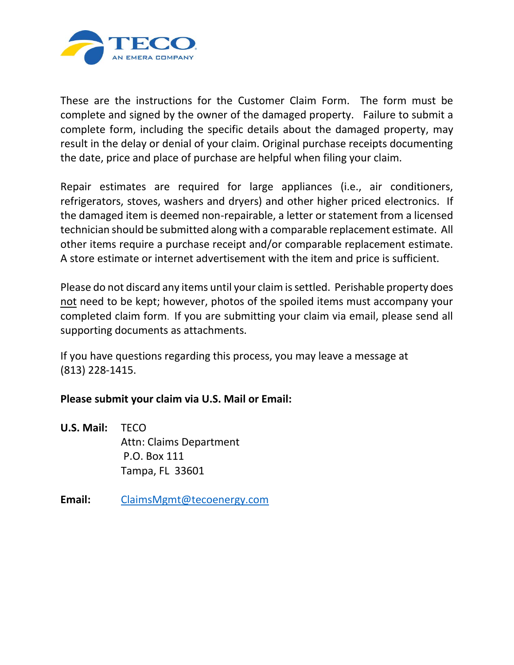

These are the instructions for the Customer Claim Form. The form must be complete and signed by the owner of the damaged property. Failure to submit a complete form, including the specific details about the damaged property, may result in the delay or denial of your claim. Original purchase receipts documenting the date, price and place of purchase are helpful when filing your claim.

Repair estimates are required for large appliances (i.e., air conditioners, refrigerators, stoves, washers and dryers) and other higher priced electronics. If the damaged item is deemed non-repairable, a letter or statement from a licensed technician should be submitted along with a comparable replacement estimate. All other items require a purchase receipt and/or comparable replacement estimate. A store estimate or internet advertisement with the item and price is sufficient.

Please do not discard any items until your claim is settled. Perishable property does not need to be kept; however, photos of the spoiled items must accompany your completed claim form. If you are submitting your claim via email, please send all supporting documents as attachments.

If you have questions regarding this process, you may leave a message at (813) 228-1415.

## **Please submit your claim via U.S. Mail or Email:**

- **U.S. Mail:** TECO Attn: Claims Department P.O. Box 111 Tampa, FL 33601
- **Email:** [ClaimsMgmt@tecoenergy.com](mailto:ClaimsMgmt@tecoenergy.com)